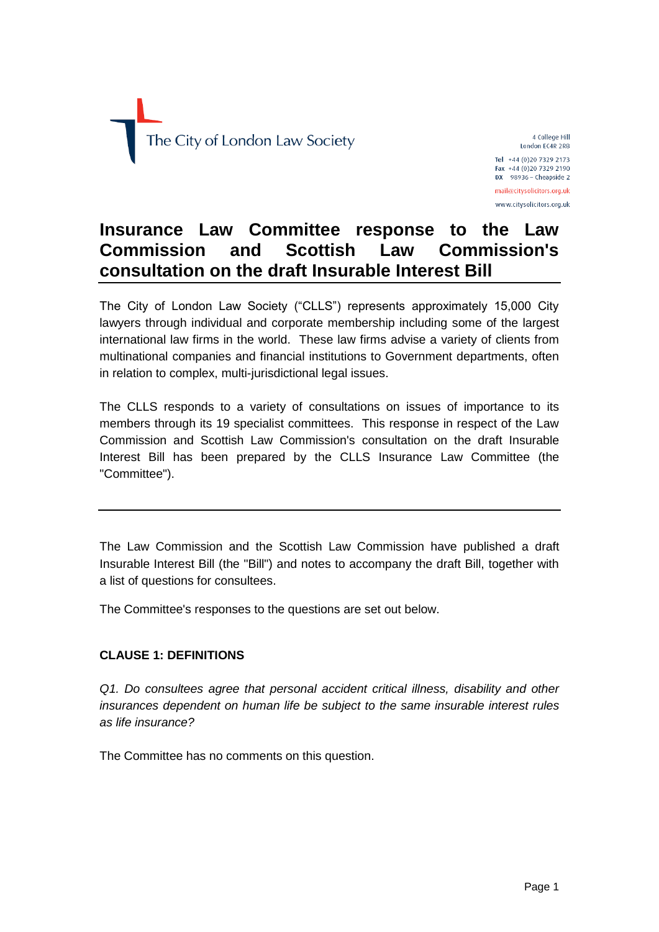

4 College Hill London EC4R 2RB Tel +44 (0)20 7329 2173 Fax +44 (0)20 7329 2190  $DX$  98936 - Cheapside 2 mail@citysolicitors.org.uk www.citysolicitors.org.uk

# **Insurance Law Committee response to the Law Commission and Scottish Law Commission's consultation on the draft Insurable Interest Bill**

The City of London Law Society ("CLLS") represents approximately 15,000 City lawyers through individual and corporate membership including some of the largest international law firms in the world. These law firms advise a variety of clients from multinational companies and financial institutions to Government departments, often in relation to complex, multi-jurisdictional legal issues.

The CLLS responds to a variety of consultations on issues of importance to its members through its 19 specialist committees. This response in respect of the Law Commission and Scottish Law Commission's consultation on the draft Insurable Interest Bill has been prepared by the CLLS Insurance Law Committee (the "Committee").

The Law Commission and the Scottish Law Commission have published a draft Insurable Interest Bill (the "Bill") and notes to accompany the draft Bill, together with a list of questions for consultees.

The Committee's responses to the questions are set out below.

## **CLAUSE 1: DEFINITIONS**

*Q1. Do consultees agree that personal accident critical illness, disability and other insurances dependent on human life be subject to the same insurable interest rules as life insurance?*

The Committee has no comments on this question.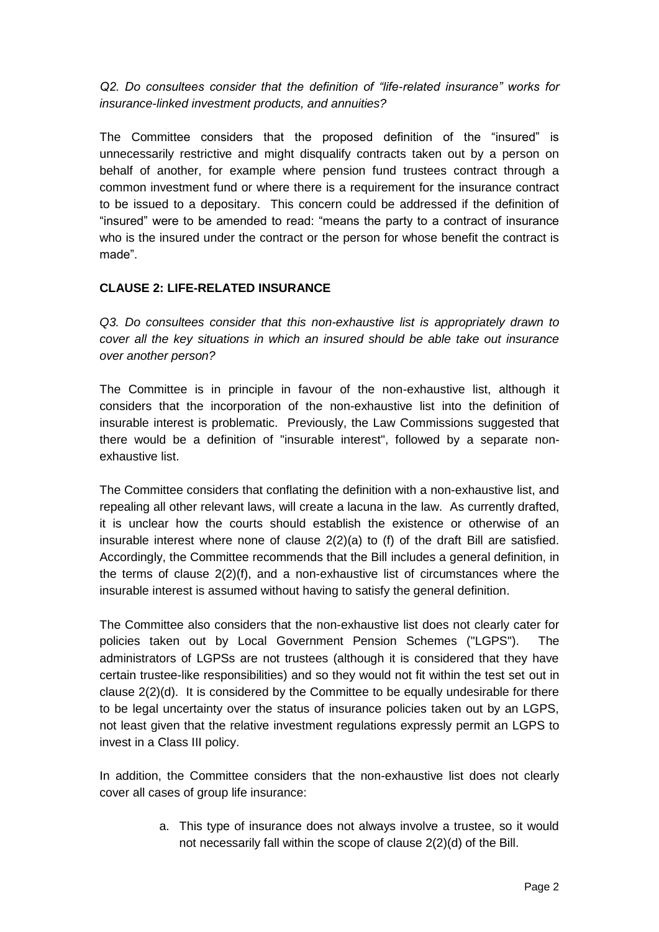*Q2. Do consultees consider that the definition of "life-related insurance" works for insurance-linked investment products, and annuities?*

The Committee considers that the proposed definition of the "insured" is unnecessarily restrictive and might disqualify contracts taken out by a person on behalf of another, for example where pension fund trustees contract through a common investment fund or where there is a requirement for the insurance contract to be issued to a depositary. This concern could be addressed if the definition of "insured" were to be amended to read: "means the party to a contract of insurance who is the insured under the contract or the person for whose benefit the contract is made".

## **CLAUSE 2: LIFE-RELATED INSURANCE**

*Q3. Do consultees consider that this non-exhaustive list is appropriately drawn to cover all the key situations in which an insured should be able take out insurance over another person?*

The Committee is in principle in favour of the non-exhaustive list, although it considers that the incorporation of the non-exhaustive list into the definition of insurable interest is problematic. Previously, the Law Commissions suggested that there would be a definition of "insurable interest", followed by a separate nonexhaustive list.

The Committee considers that conflating the definition with a non-exhaustive list, and repealing all other relevant laws, will create a lacuna in the law. As currently drafted, it is unclear how the courts should establish the existence or otherwise of an insurable interest where none of clause 2(2)(a) to (f) of the draft Bill are satisfied. Accordingly, the Committee recommends that the Bill includes a general definition, in the terms of clause 2(2)(f), and a non-exhaustive list of circumstances where the insurable interest is assumed without having to satisfy the general definition.

The Committee also considers that the non-exhaustive list does not clearly cater for policies taken out by Local Government Pension Schemes ("LGPS"). The administrators of LGPSs are not trustees (although it is considered that they have certain trustee-like responsibilities) and so they would not fit within the test set out in clause 2(2)(d). It is considered by the Committee to be equally undesirable for there to be legal uncertainty over the status of insurance policies taken out by an LGPS, not least given that the relative investment regulations expressly permit an LGPS to invest in a Class III policy.

In addition, the Committee considers that the non-exhaustive list does not clearly cover all cases of group life insurance:

> a. This type of insurance does not always involve a trustee, so it would not necessarily fall within the scope of clause 2(2)(d) of the Bill.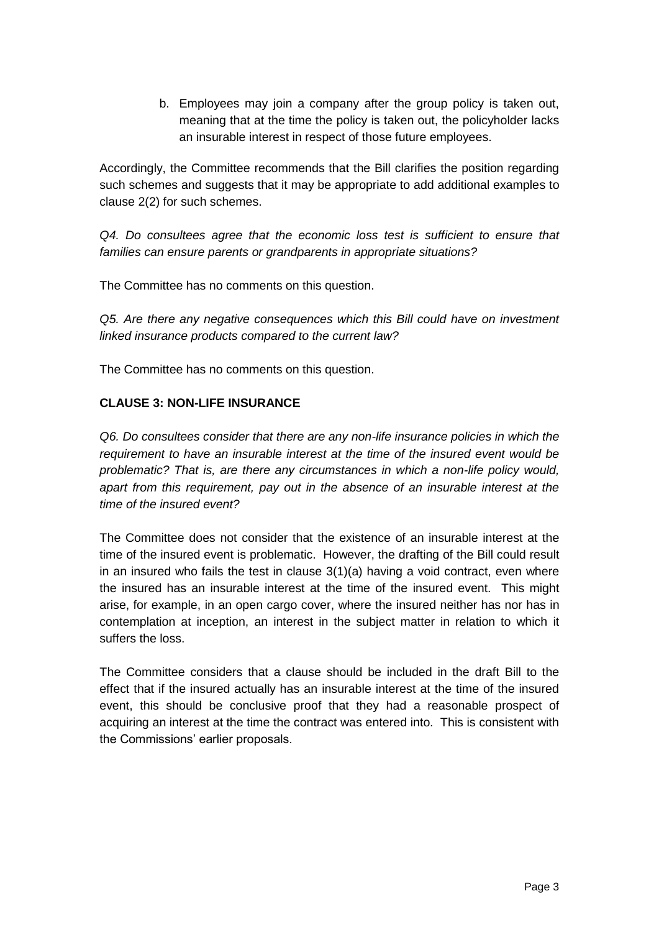b. Employees may join a company after the group policy is taken out, meaning that at the time the policy is taken out, the policyholder lacks an insurable interest in respect of those future employees.

Accordingly, the Committee recommends that the Bill clarifies the position regarding such schemes and suggests that it may be appropriate to add additional examples to clause 2(2) for such schemes.

*Q4. Do consultees agree that the economic loss test is sufficient to ensure that families can ensure parents or grandparents in appropriate situations?*

The Committee has no comments on this question.

*Q5. Are there any negative consequences which this Bill could have on investment linked insurance products compared to the current law?*

The Committee has no comments on this question.

#### **CLAUSE 3: NON-LIFE INSURANCE**

*Q6. Do consultees consider that there are any non-life insurance policies in which the requirement to have an insurable interest at the time of the insured event would be problematic? That is, are there any circumstances in which a non-life policy would, apart from this requirement, pay out in the absence of an insurable interest at the time of the insured event?*

The Committee does not consider that the existence of an insurable interest at the time of the insured event is problematic. However, the drafting of the Bill could result in an insured who fails the test in clause  $3(1)(a)$  having a void contract, even where the insured has an insurable interest at the time of the insured event. This might arise, for example, in an open cargo cover, where the insured neither has nor has in contemplation at inception, an interest in the subject matter in relation to which it suffers the loss.

The Committee considers that a clause should be included in the draft Bill to the effect that if the insured actually has an insurable interest at the time of the insured event, this should be conclusive proof that they had a reasonable prospect of acquiring an interest at the time the contract was entered into. This is consistent with the Commissions' earlier proposals.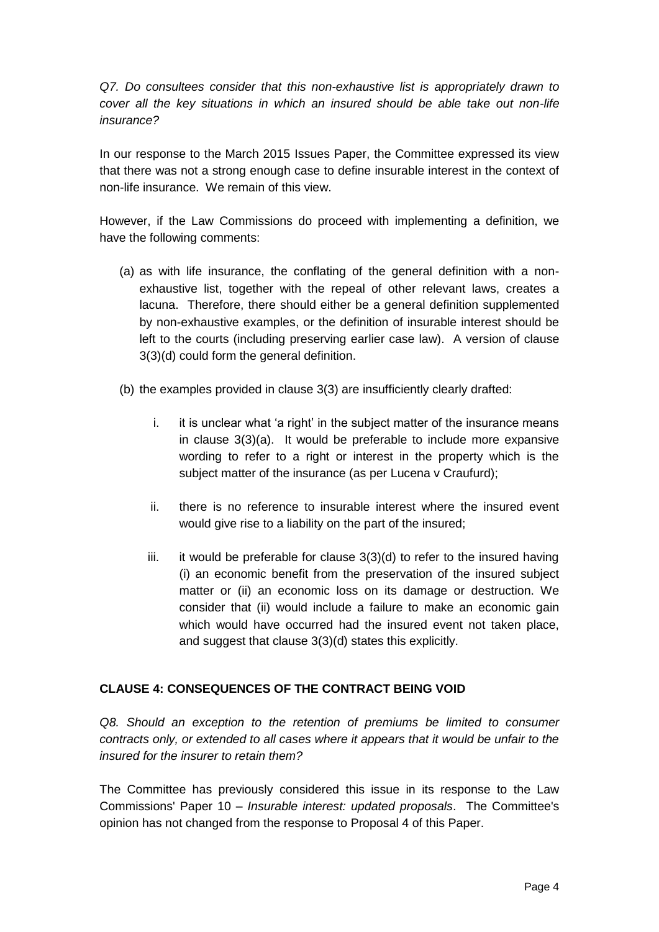*Q7. Do consultees consider that this non-exhaustive list is appropriately drawn to cover all the key situations in which an insured should be able take out non-life insurance?*

In our response to the March 2015 Issues Paper, the Committee expressed its view that there was not a strong enough case to define insurable interest in the context of non-life insurance. We remain of this view.

However, if the Law Commissions do proceed with implementing a definition, we have the following comments:

- (a) as with life insurance, the conflating of the general definition with a nonexhaustive list, together with the repeal of other relevant laws, creates a lacuna. Therefore, there should either be a general definition supplemented by non-exhaustive examples, or the definition of insurable interest should be left to the courts (including preserving earlier case law). A version of clause 3(3)(d) could form the general definition.
- (b) the examples provided in clause 3(3) are insufficiently clearly drafted:
	- i. it is unclear what 'a right' in the subject matter of the insurance means in clause 3(3)(a). It would be preferable to include more expansive wording to refer to a right or interest in the property which is the subject matter of the insurance (as per Lucena v Craufurd);
	- ii. there is no reference to insurable interest where the insured event would give rise to a liability on the part of the insured;
	- iii. it would be preferable for clause 3(3)(d) to refer to the insured having (i) an economic benefit from the preservation of the insured subject matter or (ii) an economic loss on its damage or destruction. We consider that (ii) would include a failure to make an economic gain which would have occurred had the insured event not taken place, and suggest that clause 3(3)(d) states this explicitly.

## **CLAUSE 4: CONSEQUENCES OF THE CONTRACT BEING VOID**

*Q8. Should an exception to the retention of premiums be limited to consumer contracts only, or extended to all cases where it appears that it would be unfair to the insured for the insurer to retain them?*

The Committee has previously considered this issue in its response to the Law Commissions' Paper 10 – *Insurable interest: updated proposals*. The Committee's opinion has not changed from the response to Proposal 4 of this Paper.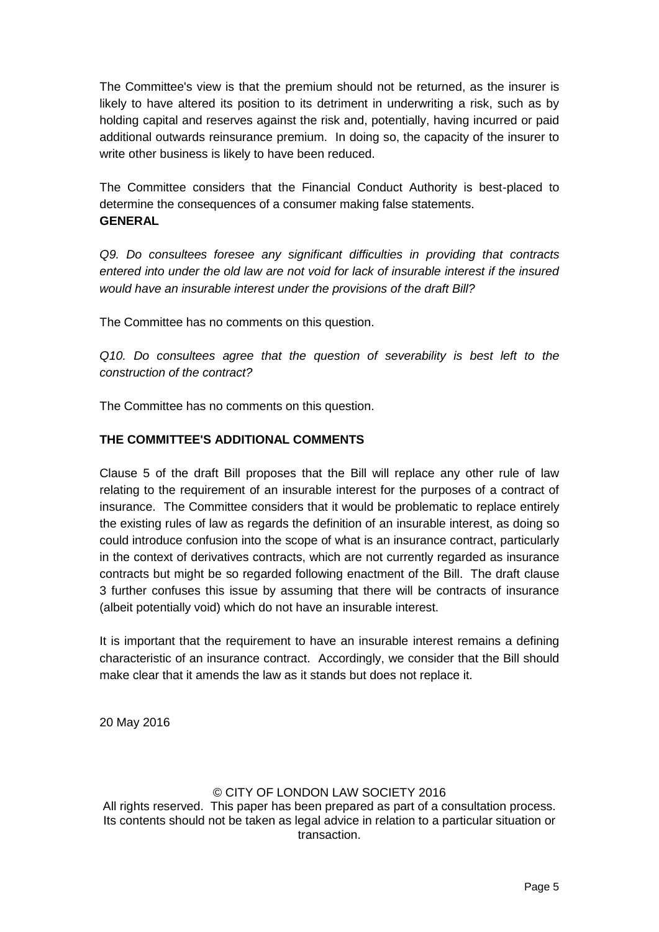The Committee's view is that the premium should not be returned, as the insurer is likely to have altered its position to its detriment in underwriting a risk, such as by holding capital and reserves against the risk and, potentially, having incurred or paid additional outwards reinsurance premium. In doing so, the capacity of the insurer to write other business is likely to have been reduced.

The Committee considers that the Financial Conduct Authority is best-placed to determine the consequences of a consumer making false statements. **GENERAL**

*Q9. Do consultees foresee any significant difficulties in providing that contracts entered into under the old law are not void for lack of insurable interest if the insured would have an insurable interest under the provisions of the draft Bill?*

The Committee has no comments on this question.

*Q10. Do consultees agree that the question of severability is best left to the construction of the contract?*

The Committee has no comments on this question.

## **THE COMMITTEE'S ADDITIONAL COMMENTS**

Clause 5 of the draft Bill proposes that the Bill will replace any other rule of law relating to the requirement of an insurable interest for the purposes of a contract of insurance. The Committee considers that it would be problematic to replace entirely the existing rules of law as regards the definition of an insurable interest, as doing so could introduce confusion into the scope of what is an insurance contract, particularly in the context of derivatives contracts, which are not currently regarded as insurance contracts but might be so regarded following enactment of the Bill. The draft clause 3 further confuses this issue by assuming that there will be contracts of insurance (albeit potentially void) which do not have an insurable interest.

It is important that the requirement to have an insurable interest remains a defining characteristic of an insurance contract. Accordingly, we consider that the Bill should make clear that it amends the law as it stands but does not replace it.

20 May 2016

#### © CITY OF LONDON LAW SOCIETY 2016

All rights reserved. This paper has been prepared as part of a consultation process. Its contents should not be taken as legal advice in relation to a particular situation or transaction.